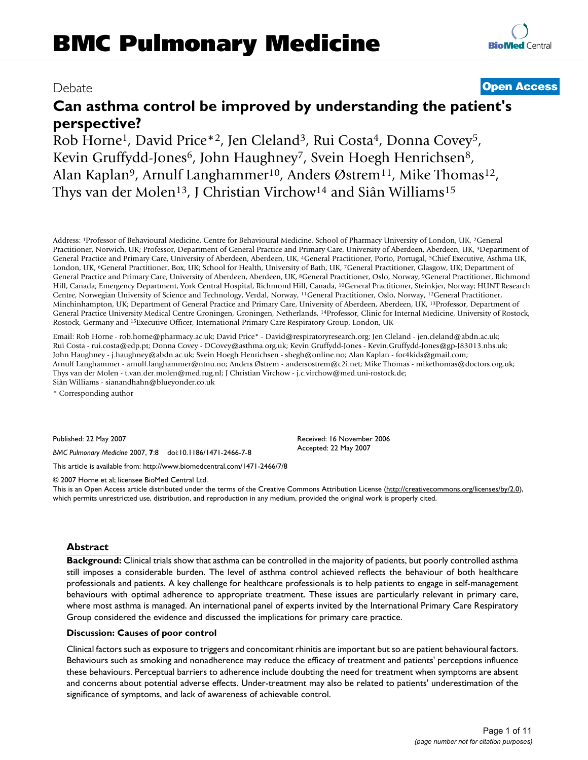## Debate **[Open Access](http://www.biomedcentral.com/info/about/charter/)**

# **Can asthma control be improved by understanding the patient's perspective?**

Rob Horne1, David Price\*2, Jen Cleland3, Rui Costa4, Donna Covey5, Kevin Gruffydd-Jones<sup>6</sup>, John Haughney<sup>7</sup>, Svein Hoegh Henrichsen<sup>8</sup>, Alan Kaplan<sup>9</sup>, Arnulf Langhammer<sup>10</sup>, Anders Østrem<sup>11</sup>, Mike Thomas<sup>12</sup>, Thys van der Molen<sup>13</sup>, J Christian Virchow<sup>14</sup> and Siân Williams<sup>15</sup>

Address: 1Professor of Behavioural Medicine, Centre for Behavioural Medicine, School of Pharmacy University of London, UK, 2General Practitioner, Norwich, UK; Professor, Department of General Practice and Primary Care, University of Aberdeen, Aberdeen, UK, 3Department of General Practice and Primary Care, University of Aberdeen, Aberdeen, UK, 4General Practitioner, Porto, Portugal, 5Chief Executive, Asthma UK, London, UK, 6General Practitioner, Box, UK; School for Health, University of Bath, UK, 7General Practitioner, Glasgow, UK; Department of General Practice and Primary Care, University of Aberdeen, Aberdeen, UK, 8General Practitioner, Oslo, Norway, 9General Practitioner, Richmond Hill, Canada; Emergency Department, York Central Hospital, Richmond Hill, Canada, 10General Practitioner, Steinkjer, Norway; HUNT Research Centre, Norwegian University of Science and Technology, Verdal, Norway, 11General Practitioner, Oslo, Norway, 12General Practitioner, Minchinhampton, UK; Department of General Practice and Primary Care, University of Aberdeen, Aberdeen, UK, 13Professor, Department of General Practice University Medical Centre Groningen, Groningen, Netherlands, 14Professor, Clinic for Internal Medicine, University of Rostock, Rostock, Germany and 15Executive Officer, International Primary Care Respiratory Group, London, UK

Email: Rob Horne - rob.horne@pharmacy.ac.uk; David Price\* - David@respiratoryresearch.org; Jen Cleland - jen.cleland@abdn.ac.uk; Rui Costa - rui.costa@edp.pt; Donna Covey - DCovey@asthma.org.uk; Kevin Gruffydd-Jones - Kevin.Gruffydd-Jones@gp-J83013.nhs.uk; John Haughney - j.haughney@abdn.ac.uk; Svein Hoegh Henrichsen - shegh@online.no; Alan Kaplan - for4kids@gmail.com; Arnulf Langhammer - arnulf.langhammer@ntnu.no; Anders Østrem - andersostrem@c2i.net; Mike Thomas - mikethomas@doctors.org.uk; Thys van der Molen - t.van.der.molen@med.rug.nl; J Christian Virchow - j.c.virchow@med.uni-rostock.de; Siân Williams - sianandhahn@blueyonder.co.uk

\* Corresponding author

Published: 22 May 2007

*BMC Pulmonary Medicine* 2007, **7**:8 doi:10.1186/1471-2466-7-8

[This article is available from: http://www.biomedcentral.com/1471-2466/7/8](http://www.biomedcentral.com/1471-2466/7/8)

© 2007 Horne et al; licensee BioMed Central Ltd.

This is an Open Access article distributed under the terms of the Creative Commons Attribution License [\(http://creativecommons.org/licenses/by/2.0\)](http://creativecommons.org/licenses/by/2.0), which permits unrestricted use, distribution, and reproduction in any medium, provided the original work is properly cited.

Received: 16 November 2006 Accepted: 22 May 2007

## **Abstract**

**Background:** Clinical trials show that asthma can be controlled in the majority of patients, but poorly controlled asthma still imposes a considerable burden. The level of asthma control achieved reflects the behaviour of both healthcare professionals and patients. A key challenge for healthcare professionals is to help patients to engage in self-management behaviours with optimal adherence to appropriate treatment. These issues are particularly relevant in primary care, where most asthma is managed. An international panel of experts invited by the International Primary Care Respiratory Group considered the evidence and discussed the implications for primary care practice.

#### **Discussion: Causes of poor control**

Clinical factors such as exposure to triggers and concomitant rhinitis are important but so are patient behavioural factors. Behaviours such as smoking and nonadherence may reduce the efficacy of treatment and patients' perceptions influence these behaviours. Perceptual barriers to adherence include doubting the need for treatment when symptoms are absent and concerns about potential adverse effects. Under-treatment may also be related to patients' underestimation of the significance of symptoms, and lack of awareness of achievable control.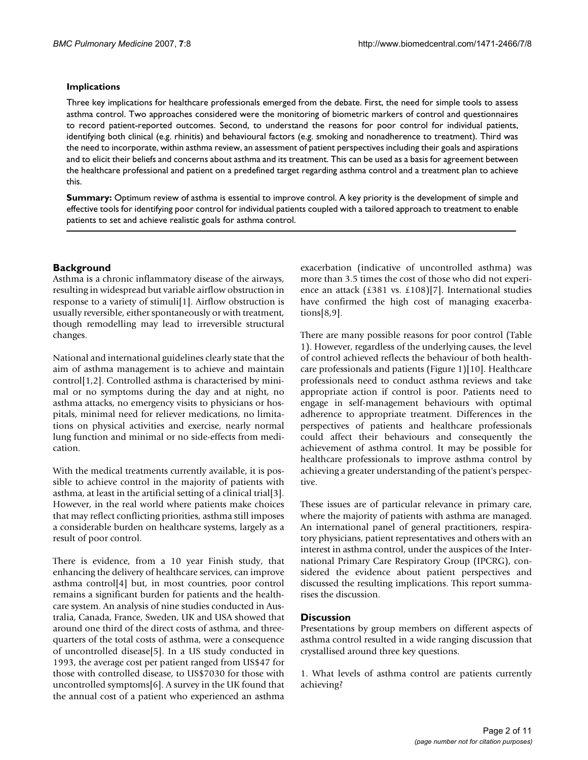#### **Implications**

Three key implications for healthcare professionals emerged from the debate. First, the need for simple tools to assess asthma control. Two approaches considered were the monitoring of biometric markers of control and questionnaires to record patient-reported outcomes. Second, to understand the reasons for poor control for individual patients, identifying both clinical (e.g. rhinitis) and behavioural factors (e.g. smoking and nonadherence to treatment). Third was the need to incorporate, within asthma review, an assessment of patient perspectives including their goals and aspirations and to elicit their beliefs and concerns about asthma and its treatment. This can be used as a basis for agreement between the healthcare professional and patient on a predefined target regarding asthma control and a treatment plan to achieve this.

**Summary:** Optimum review of asthma is essential to improve control. A key priority is the development of simple and effective tools for identifying poor control for individual patients coupled with a tailored approach to treatment to enable patients to set and achieve realistic goals for asthma control.

#### **Background**

Asthma is a chronic inflammatory disease of the airways, resulting in widespread but variable airflow obstruction in response to a variety of stimuli[1]. Airflow obstruction is usually reversible, either spontaneously or with treatment, though remodelling may lead to irreversible structural changes.

National and international guidelines clearly state that the aim of asthma management is to achieve and maintain control[1,2]. Controlled asthma is characterised by minimal or no symptoms during the day and at night, no asthma attacks, no emergency visits to physicians or hospitals, minimal need for reliever medications, no limitations on physical activities and exercise, nearly normal lung function and minimal or no side-effects from medication.

With the medical treatments currently available, it is possible to achieve control in the majority of patients with asthma, at least in the artificial setting of a clinical trial[3]. However, in the real world where patients make choices that may reflect conflicting priorities, asthma still imposes a considerable burden on healthcare systems, largely as a result of poor control.

There is evidence, from a 10 year Finish study, that enhancing the delivery of healthcare services, can improve asthma control[4] but, in most countries, poor control remains a significant burden for patients and the healthcare system. An analysis of nine studies conducted in Australia, Canada, France, Sweden, UK and USA showed that around one third of the direct costs of asthma, and threequarters of the total costs of asthma, were a consequence of uncontrolled disease[5]. In a US study conducted in 1993, the average cost per patient ranged from US\$47 for those with controlled disease, to US\$7030 for those with uncontrolled symptoms[6]. A survey in the UK found that the annual cost of a patient who experienced an asthma

exacerbation (indicative of uncontrolled asthma) was more than 3.5 times the cost of those who did not experience an attack (£381 vs. £108)[7]. International studies have confirmed the high cost of managing exacerbations[8,9].

There are many possible reasons for poor control (Table 1). However, regardless of the underlying causes, the level of control achieved reflects the behaviour of both healthcare professionals and patients (Figure 1)[10]. Healthcare professionals need to conduct asthma reviews and take appropriate action if control is poor. Patients need to engage in self-management behaviours with optimal adherence to appropriate treatment. Differences in the perspectives of patients and healthcare professionals could affect their behaviours and consequently the achievement of asthma control. It may be possible for healthcare professionals to improve asthma control by achieving a greater understanding of the patient's perspective.

These issues are of particular relevance in primary care, where the majority of patients with asthma are managed. An international panel of general practitioners, respiratory physicians, patient representatives and others with an interest in asthma control, under the auspices of the International Primary Care Respiratory Group (IPCRG), considered the evidence about patient perspectives and discussed the resulting implications. This report summarises the discussion.

#### **Discussion**

Presentations by group members on different aspects of asthma control resulted in a wide ranging discussion that crystallised around three key questions.

1. What levels of asthma control are patients currently achieving?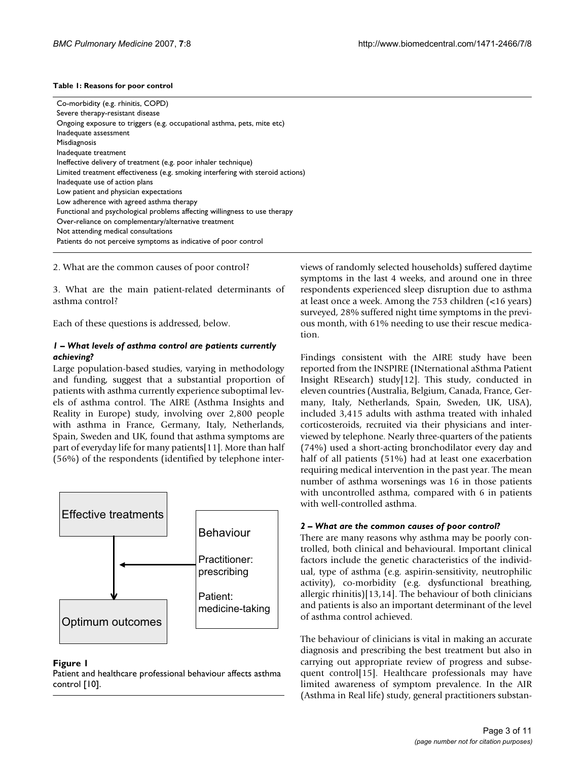#### **Table 1: Reasons for poor control**

2. What are the common causes of poor control?

3. What are the main patient-related determinants of asthma control?

Each of these questions is addressed, below.

#### *1 – What levels of asthma control are patients currently achieving?*

Large population-based studies, varying in methodology and funding, suggest that a substantial proportion of patients with asthma currently experience suboptimal levels of asthma control. The AIRE (Asthma Insights and Reality in Europe) study, involving over 2,800 people with asthma in France, Germany, Italy, Netherlands, Spain, Sweden and UK, found that asthma symptoms are part of everyday life for many patients[11]. More than half (56%) of the respondents (identified by telephone inter-



#### **Figure 1**

Patient and healthcare professional behaviour affects asthma control [10].

views of randomly selected households) suffered daytime symptoms in the last 4 weeks, and around one in three respondents experienced sleep disruption due to asthma at least once a week. Among the 753 children (<16 years) surveyed, 28% suffered night time symptoms in the previous month, with 61% needing to use their rescue medication.

Findings consistent with the AIRE study have been reported from the INSPIRE (INternational aSthma Patient Insight REsearch) study[12]. This study, conducted in eleven countries (Australia, Belgium, Canada, France, Germany, Italy, Netherlands, Spain, Sweden, UK, USA), included 3,415 adults with asthma treated with inhaled corticosteroids, recruited via their physicians and interviewed by telephone. Nearly three-quarters of the patients (74%) used a short-acting bronchodilator every day and half of all patients (51%) had at least one exacerbation requiring medical intervention in the past year. The mean number of asthma worsenings was 16 in those patients with uncontrolled asthma, compared with 6 in patients with well-controlled asthma.

#### *2 – What are the common causes of poor control?*

There are many reasons why asthma may be poorly controlled, both clinical and behavioural. Important clinical factors include the genetic characteristics of the individual, type of asthma (e.g. aspirin-sensitivity, neutrophilic activity), co-morbidity (e.g. dysfunctional breathing, allergic rhinitis)[13,14]. The behaviour of both clinicians and patients is also an important determinant of the level of asthma control achieved.

The behaviour of clinicians is vital in making an accurate diagnosis and prescribing the best treatment but also in carrying out appropriate review of progress and subsequent control[15]. Healthcare professionals may have limited awareness of symptom prevalence. In the AIR (Asthma in Real life) study, general practitioners substan-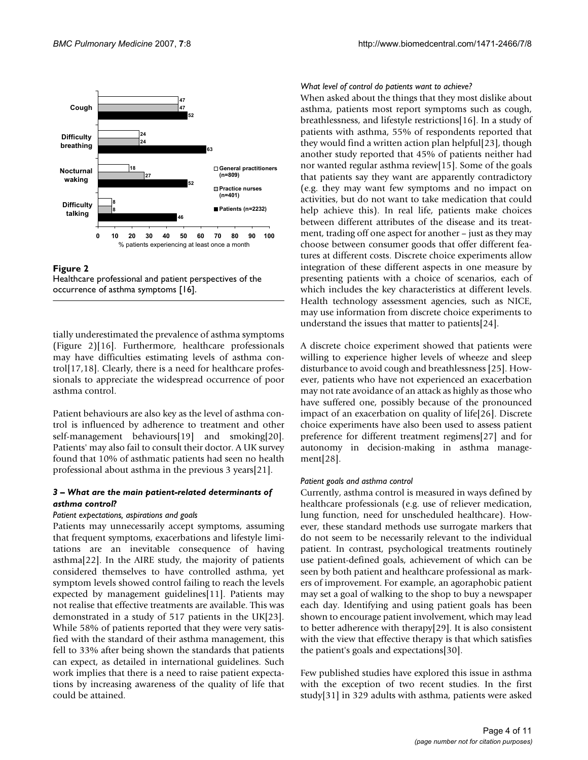

#### Figure 2

Healthcare professional and patient perspectives of the occurrence of asthma symptoms [16].

tially underestimated the prevalence of asthma symptoms (Figure 2)[16]. Furthermore, healthcare professionals may have difficulties estimating levels of asthma control[17,18]. Clearly, there is a need for healthcare professionals to appreciate the widespread occurrence of poor asthma control.

Patient behaviours are also key as the level of asthma control is influenced by adherence to treatment and other self-management behaviours[19] and smoking[20]. Patients' may also fail to consult their doctor. A UK survey found that 10% of asthmatic patients had seen no health professional about asthma in the previous 3 years[21].

## *3 – What are the main patient-related determinants of asthma control?*

#### *Patient expectations, aspirations and goals*

Patients may unnecessarily accept symptoms, assuming that frequent symptoms, exacerbations and lifestyle limitations are an inevitable consequence of having asthma[22]. In the AIRE study, the majority of patients considered themselves to have controlled asthma, yet symptom levels showed control failing to reach the levels expected by management guidelines[11]. Patients may not realise that effective treatments are available. This was demonstrated in a study of 517 patients in the UK[23]. While 58% of patients reported that they were very satisfied with the standard of their asthma management, this fell to 33% after being shown the standards that patients can expect, as detailed in international guidelines. Such work implies that there is a need to raise patient expectations by increasing awareness of the quality of life that could be attained.

#### *What level of control do patients want to achieve?*

When asked about the things that they most dislike about asthma, patients most report symptoms such as cough, breathlessness, and lifestyle restrictions[16]. In a study of patients with asthma, 55% of respondents reported that they would find a written action plan helpful[23], though another study reported that 45% of patients neither had nor wanted regular asthma review[15]. Some of the goals that patients say they want are apparently contradictory (e.g. they may want few symptoms and no impact on activities, but do not want to take medication that could help achieve this). In real life, patients make choices between different attributes of the disease and its treatment, trading off one aspect for another – just as they may choose between consumer goods that offer different features at different costs. Discrete choice experiments allow integration of these different aspects in one measure by presenting patients with a choice of scenarios, each of which includes the key characteristics at different levels. Health technology assessment agencies, such as NICE, may use information from discrete choice experiments to understand the issues that matter to patients[24].

A discrete choice experiment showed that patients were willing to experience higher levels of wheeze and sleep disturbance to avoid cough and breathlessness [25]. However, patients who have not experienced an exacerbation may not rate avoidance of an attack as highly as those who have suffered one, possibly because of the pronounced impact of an exacerbation on quality of life[26]. Discrete choice experiments have also been used to assess patient preference for different treatment regimens[27] and for autonomy in decision-making in asthma management[28].

## *Patient goals and asthma control*

Currently, asthma control is measured in ways defined by healthcare professionals (e.g. use of reliever medication, lung function, need for unscheduled healthcare). However, these standard methods use surrogate markers that do not seem to be necessarily relevant to the individual patient. In contrast, psychological treatments routinely use patient-defined goals, achievement of which can be seen by both patient and healthcare professional as markers of improvement. For example, an agoraphobic patient may set a goal of walking to the shop to buy a newspaper each day. Identifying and using patient goals has been shown to encourage patient involvement, which may lead to better adherence with therapy[29]. It is also consistent with the view that effective therapy is that which satisfies the patient's goals and expectations[30].

Few published studies have explored this issue in asthma with the exception of two recent studies. In the first study[31] in 329 adults with asthma, patients were asked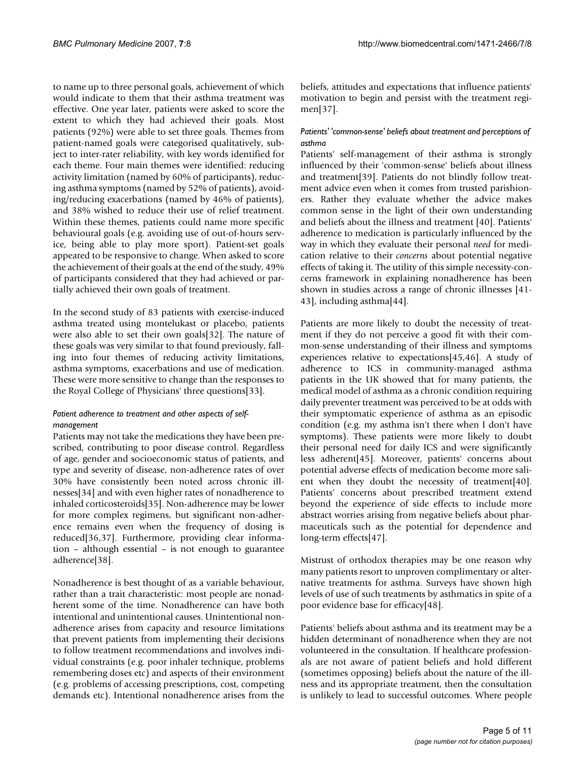to name up to three personal goals, achievement of which would indicate to them that their asthma treatment was effective. One year later, patients were asked to score the extent to which they had achieved their goals. Most patients (92%) were able to set three goals. Themes from patient-named goals were categorised qualitatively, subject to inter-rater reliability, with key words identified for each theme. Four main themes were identified: reducing activity limitation (named by 60% of participants), reducing asthma symptoms (named by 52% of patients), avoiding/reducing exacerbations (named by 46% of patients), and 38% wished to reduce their use of relief treatment. Within these themes, patients could name more specific behavioural goals (e.g. avoiding use of out-of-hours service, being able to play more sport). Patient-set goals appeared to be responsive to change. When asked to score the achievement of their goals at the end of the study, 49% of participants considered that they had achieved or partially achieved their own goals of treatment.

In the second study of 83 patients with exercise-induced asthma treated using montelukast or placebo, patients were also able to set their own goals[32]. The nature of these goals was very similar to that found previously, falling into four themes of reducing activity limitations, asthma symptoms, exacerbations and use of medication. These were more sensitive to change than the responses to the Royal College of Physicians' three questions[33].

## *Patient adherence to treatment and other aspects of selfmanagement*

Patients may not take the medications they have been prescribed, contributing to poor disease control. Regardless of age, gender and socioeconomic status of patients, and type and severity of disease, non-adherence rates of over 30% have consistently been noted across chronic illnesses[34] and with even higher rates of nonadherence to inhaled corticosteroids[35]. Non-adherence may be lower for more complex regimens, but significant non-adherence remains even when the frequency of dosing is reduced[36,37]. Furthermore, providing clear information – although essential – is not enough to guarantee adherence[38].

Nonadherence is best thought of as a variable behaviour, rather than a trait characteristic: most people are nonadherent some of the time. Nonadherence can have both intentional and unintentional causes. Unintentional nonadherence arises from capacity and resource limitations that prevent patients from implementing their decisions to follow treatment recommendations and involves individual constraints (e.g. poor inhaler technique, problems remembering doses etc) and aspects of their environment (e.g. problems of accessing prescriptions, cost, competing demands etc). Intentional nonadherence arises from the beliefs, attitudes and expectations that influence patients' motivation to begin and persist with the treatment regimen[37].

## *Patients' 'common-sense' beliefs about treatment and perceptions of asthma*

Patients' self-management of their asthma is strongly influenced by their 'common-sense' beliefs about illness and treatment[39]. Patients do not blindly follow treatment advice even when it comes from trusted parishioners. Rather they evaluate whether the advice makes common sense in the light of their own understanding and beliefs about the illness and treatment [40]. Patients' adherence to medication is particularly influenced by the way in which they evaluate their personal *need* for medication relative to their *concerns* about potential negative effects of taking it. The utility of this simple necessity-concerns framework in explaining nonadherence has been shown in studies across a range of chronic illnesses [41- 43], including asthma[44].

Patients are more likely to doubt the necessity of treatment if they do not perceive a good fit with their common-sense understanding of their illness and symptoms experiences relative to expectations[45,46]. A study of adherence to ICS in community-managed asthma patients in the UK showed that for many patients, the medical model of asthma as a chronic condition requiring daily preventer treatment was perceived to be at odds with their symptomatic experience of asthma as an episodic condition (e.g. my asthma isn't there when I don't have symptoms). These patients were more likely to doubt their personal need for daily ICS and were significantly less adherent[45]. Moreover, patients' concerns about potential adverse effects of medication become more salient when they doubt the necessity of treatment[40]. Patients' concerns about prescribed treatment extend beyond the experience of side effects to include more abstract worries arising from negative beliefs about pharmaceuticals such as the potential for dependence and long-term effects[47].

Mistrust of orthodox therapies may be one reason why many patients resort to unproven complimentary or alternative treatments for asthma. Surveys have shown high levels of use of such treatments by asthmatics in spite of a poor evidence base for efficacy[48].

Patients' beliefs about asthma and its treatment may be a hidden determinant of nonadherence when they are not volunteered in the consultation. If healthcare professionals are not aware of patient beliefs and hold different (sometimes opposing) beliefs about the nature of the illness and its appropriate treatment, then the consultation is unlikely to lead to successful outcomes. Where people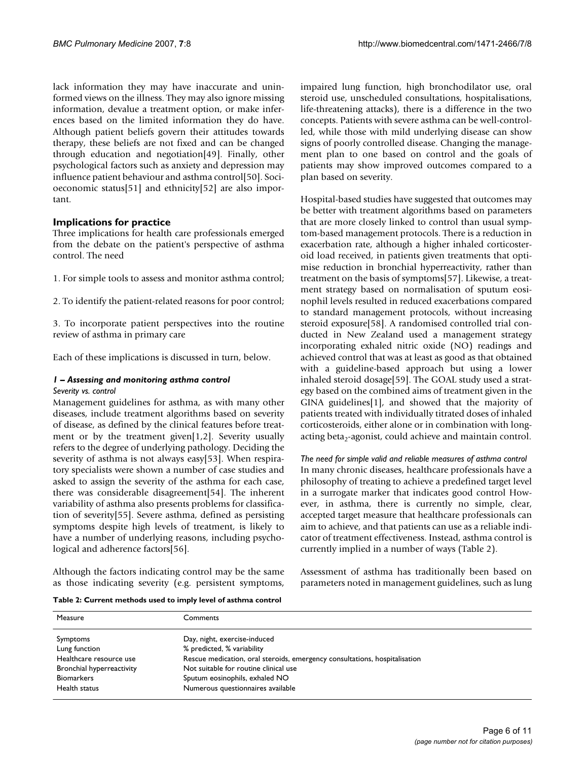lack information they may have inaccurate and uninformed views on the illness. They may also ignore missing information, devalue a treatment option, or make inferences based on the limited information they do have. Although patient beliefs govern their attitudes towards therapy, these beliefs are not fixed and can be changed through education and negotiation[49]. Finally, other psychological factors such as anxiety and depression may influence patient behaviour and asthma control[50]. Socioeconomic status[51] and ethnicity[52] are also important.

## **Implications for practice**

Three implications for health care professionals emerged from the debate on the patient's perspective of asthma control. The need

- 1. For simple tools to assess and monitor asthma control;
- 2. To identify the patient-related reasons for poor control;

3. To incorporate patient perspectives into the routine review of asthma in primary care

Each of these implications is discussed in turn, below.

## *1 – Assessing and monitoring asthma control Severity vs. control*

Management guidelines for asthma, as with many other diseases, include treatment algorithms based on severity of disease, as defined by the clinical features before treatment or by the treatment given[1,2]. Severity usually refers to the degree of underlying pathology. Deciding the severity of asthma is not always easy[53]. When respiratory specialists were shown a number of case studies and asked to assign the severity of the asthma for each case, there was considerable disagreement[54]. The inherent variability of asthma also presents problems for classification of severity[55]. Severe asthma, defined as persisting symptoms despite high levels of treatment, is likely to have a number of underlying reasons, including psychological and adherence factors[56].

Although the factors indicating control may be the same as those indicating severity (e.g. persistent symptoms,

impaired lung function, high bronchodilator use, oral steroid use, unscheduled consultations, hospitalisations, life-threatening attacks), there is a difference in the two concepts. Patients with severe asthma can be well-controlled, while those with mild underlying disease can show signs of poorly controlled disease. Changing the management plan to one based on control and the goals of patients may show improved outcomes compared to a plan based on severity.

Hospital-based studies have suggested that outcomes may be better with treatment algorithms based on parameters that are more closely linked to control than usual symptom-based management protocols. There is a reduction in exacerbation rate, although a higher inhaled corticosteroid load received, in patients given treatments that optimise reduction in bronchial hyperreactivity, rather than treatment on the basis of symptoms[57]. Likewise, a treatment strategy based on normalisation of sputum eosinophil levels resulted in reduced exacerbations compared to standard management protocols, without increasing steroid exposure[58]. A randomised controlled trial conducted in New Zealand used a management strategy incorporating exhaled nitric oxide (NO) readings and achieved control that was at least as good as that obtained with a guideline-based approach but using a lower inhaled steroid dosage[59]. The GOAL study used a strategy based on the combined aims of treatment given in the GINA guidelines[1], and showed that the majority of patients treated with individually titrated doses of inhaled corticosteroids, either alone or in combination with longacting beta<sub>2</sub>-agonist, could achieve and maintain control.

*The need for simple valid and reliable measures of asthma control* In many chronic diseases, healthcare professionals have a philosophy of treating to achieve a predefined target level in a surrogate marker that indicates good control However, in asthma, there is currently no simple, clear, accepted target measure that healthcare professionals can aim to achieve, and that patients can use as a reliable indicator of treatment effectiveness. Instead, asthma control is currently implied in a number of ways (Table 2).

Assessment of asthma has traditionally been based on parameters noted in management guidelines, such as lung

**Table 2: Current methods used to imply level of asthma control**

| Measure                   | Comments                                                                   |
|---------------------------|----------------------------------------------------------------------------|
|                           |                                                                            |
| Symptoms                  | Day, night, exercise-induced                                               |
| Lung function             | % predicted, % variability                                                 |
| Healthcare resource use   | Rescue medication, oral steroids, emergency consultations, hospitalisation |
| Bronchial hyperreactivity | Not suitable for routine clinical use                                      |
| <b>Biomarkers</b>         | Sputum eosinophils, exhaled NO                                             |
| Health status             | Numerous questionnaires available                                          |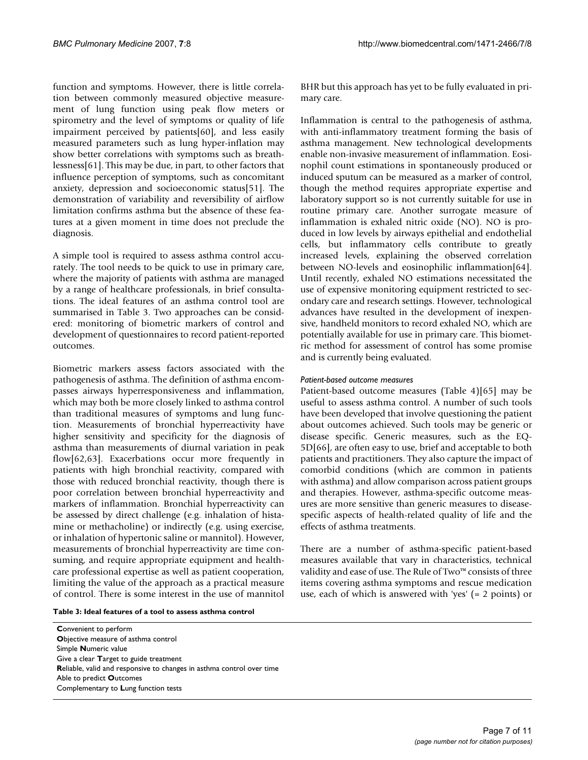function and symptoms. However, there is little correlation between commonly measured objective measurement of lung function using peak flow meters or spirometry and the level of symptoms or quality of life impairment perceived by patients[60], and less easily measured parameters such as lung hyper-inflation may show better correlations with symptoms such as breathlessness[61]. This may be due, in part, to other factors that influence perception of symptoms, such as concomitant anxiety, depression and socioeconomic status[51]. The demonstration of variability and reversibility of airflow limitation confirms asthma but the absence of these features at a given moment in time does not preclude the diagnosis.

A simple tool is required to assess asthma control accurately. The tool needs to be quick to use in primary care, where the majority of patients with asthma are managed by a range of healthcare professionals, in brief consultations. The ideal features of an asthma control tool are summarised in Table 3. Two approaches can be considered: monitoring of biometric markers of control and development of questionnaires to record patient-reported outcomes.

Biometric markers assess factors associated with the pathogenesis of asthma. The definition of asthma encompasses airways hyperresponsiveness and inflammation, which may both be more closely linked to asthma control than traditional measures of symptoms and lung function. Measurements of bronchial hyperreactivity have higher sensitivity and specificity for the diagnosis of asthma than measurements of diurnal variation in peak flow[62,63]. Exacerbations occur more frequently in patients with high bronchial reactivity, compared with those with reduced bronchial reactivity, though there is poor correlation between bronchial hyperreactivity and markers of inflammation. Bronchial hyperreactivity can be assessed by direct challenge (e.g. inhalation of histamine or methacholine) or indirectly (e.g. using exercise, or inhalation of hypertonic saline or mannitol). However, measurements of bronchial hyperreactivity are time consuming, and require appropriate equipment and healthcare professional expertise as well as patient cooperation, limiting the value of the approach as a practical measure of control. There is some interest in the use of mannitol

**Table 3: Ideal features of a tool to assess asthma control**

**C**onvenient to perform **O**bjective measure of asthma control Simple **N**umeric value Give a clear **T**arget to guide treatment **R**eliable, valid and responsive to changes in asthma control over time Able to predict **O**utcomes Complementary to **L**ung function tests

BHR but this approach has yet to be fully evaluated in primary care.

Inflammation is central to the pathogenesis of asthma, with anti-inflammatory treatment forming the basis of asthma management. New technological developments enable non-invasive measurement of inflammation. Eosinophil count estimations in spontaneously produced or induced sputum can be measured as a marker of control, though the method requires appropriate expertise and laboratory support so is not currently suitable for use in routine primary care. Another surrogate measure of inflammation is exhaled nitric oxide (NO). NO is produced in low levels by airways epithelial and endothelial cells, but inflammatory cells contribute to greatly increased levels, explaining the observed correlation between NO-levels and eosinophilic inflammation[64]. Until recently, exhaled NO estimations necessitated the use of expensive monitoring equipment restricted to secondary care and research settings. However, technological advances have resulted in the development of inexpensive, handheld monitors to record exhaled NO, which are potentially available for use in primary care. This biometric method for assessment of control has some promise and is currently being evaluated.

#### *Patient-based outcome measures*

Patient-based outcome measures (Table 4)[65] may be useful to assess asthma control. A number of such tools have been developed that involve questioning the patient about outcomes achieved. Such tools may be generic or disease specific. Generic measures, such as the EQ-5D[66], are often easy to use, brief and acceptable to both patients and practitioners. They also capture the impact of comorbid conditions (which are common in patients with asthma) and allow comparison across patient groups and therapies. However, asthma-specific outcome measures are more sensitive than generic measures to diseasespecific aspects of health-related quality of life and the effects of asthma treatments.

There are a number of asthma-specific patient-based measures available that vary in characteristics, technical validity and ease of use. The Rule of Two™ consists of three items covering asthma symptoms and rescue medication use, each of which is answered with 'yes' (= 2 points) or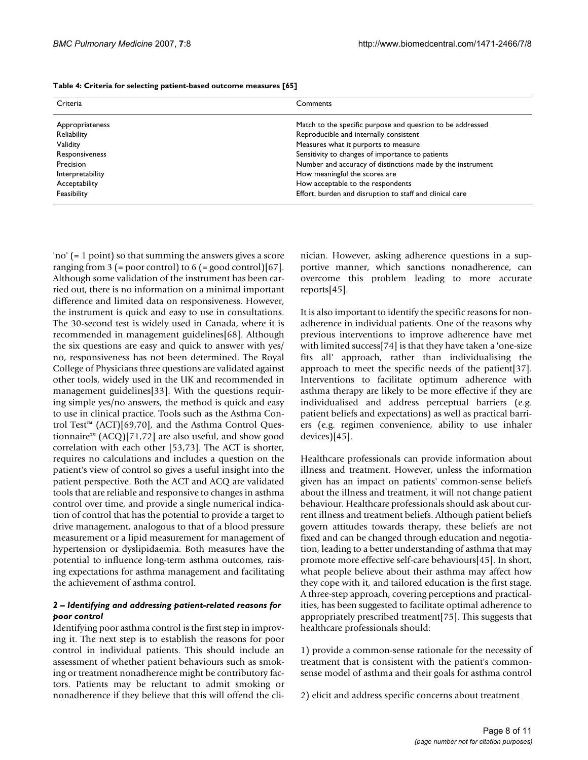| Table 4: Criteria for selecting patient-based outcome measures [65] |  |  |  |
|---------------------------------------------------------------------|--|--|--|
|---------------------------------------------------------------------|--|--|--|

| Criteria         | Comments                                                   |
|------------------|------------------------------------------------------------|
|                  |                                                            |
| Appropriateness  | Match to the specific purpose and question to be addressed |
| Reliability      | Reproducible and internally consistent                     |
| <b>Validity</b>  | Measures what it purports to measure                       |
| Responsiveness   | Sensitivity to changes of importance to patients           |
| Precision        | Number and accuracy of distinctions made by the instrument |
| Interpretability | How meaningful the scores are                              |
| Acceptability    | How acceptable to the respondents                          |
| Feasibility      | Effort, burden and disruption to staff and clinical care   |
|                  |                                                            |

'no' (= 1 point) so that summing the answers gives a score ranging from 3 (= poor control) to 6 (= good control)[67]. Although some validation of the instrument has been carried out, there is no information on a minimal important difference and limited data on responsiveness. However, the instrument is quick and easy to use in consultations. The 30-second test is widely used in Canada, where it is recommended in management guidelines[68]. Although the six questions are easy and quick to answer with yes/ no, responsiveness has not been determined. The Royal College of Physicians three questions are validated against other tools, widely used in the UK and recommended in management guidelines[33]. With the questions requiring simple yes/no answers, the method is quick and easy to use in clinical practice. Tools such as the Asthma Control Test™ (ACT)[69,70], and the Asthma Control Questionnaire™ (ACQ)[71,72] are also useful, and show good correlation with each other [53,73]. The ACT is shorter, requires no calculations and includes a question on the patient's view of control so gives a useful insight into the patient perspective. Both the ACT and ACQ are validated tools that are reliable and responsive to changes in asthma control over time, and provide a single numerical indication of control that has the potential to provide a target to drive management, analogous to that of a blood pressure measurement or a lipid measurement for management of hypertension or dyslipidaemia. Both measures have the potential to influence long-term asthma outcomes, raising expectations for asthma management and facilitating the achievement of asthma control.

#### *2 – Identifying and addressing patient-related reasons for poor control*

Identifying poor asthma control is the first step in improving it. The next step is to establish the reasons for poor control in individual patients. This should include an assessment of whether patient behaviours such as smoking or treatment nonadherence might be contributory factors. Patients may be reluctant to admit smoking or nonadherence if they believe that this will offend the clinician. However, asking adherence questions in a supportive manner, which sanctions nonadherence, can overcome this problem leading to more accurate reports[45].

It is also important to identify the specific reasons for nonadherence in individual patients. One of the reasons why previous interventions to improve adherence have met with limited success[74] is that they have taken a 'one-size fits all' approach, rather than individualising the approach to meet the specific needs of the patient[37]. Interventions to facilitate optimum adherence with asthma therapy are likely to be more effective if they are individualised and address perceptual barriers (e.g. patient beliefs and expectations) as well as practical barriers (e.g. regimen convenience, ability to use inhaler devices)[45].

Healthcare professionals can provide information about illness and treatment. However, unless the information given has an impact on patients' common-sense beliefs about the illness and treatment, it will not change patient behaviour. Healthcare professionals should ask about current illness and treatment beliefs. Although patient beliefs govern attitudes towards therapy, these beliefs are not fixed and can be changed through education and negotiation, leading to a better understanding of asthma that may promote more effective self-care behaviours[45]. In short, what people believe about their asthma may affect how they cope with it, and tailored education is the first stage. A three-step approach, covering perceptions and practicalities, has been suggested to facilitate optimal adherence to appropriately prescribed treatment[75]. This suggests that healthcare professionals should:

1) provide a common-sense rationale for the necessity of treatment that is consistent with the patient's commonsense model of asthma and their goals for asthma control

2) elicit and address specific concerns about treatment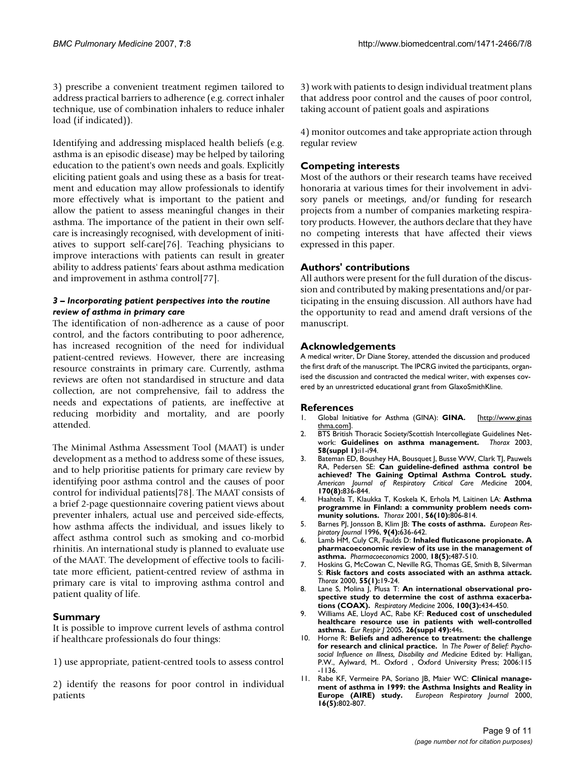3) prescribe a convenient treatment regimen tailored to address practical barriers to adherence (e.g. correct inhaler technique, use of combination inhalers to reduce inhaler load (if indicated)).

Identifying and addressing misplaced health beliefs (e.g. asthma is an episodic disease) may be helped by tailoring education to the patient's own needs and goals. Explicitly eliciting patient goals and using these as a basis for treatment and education may allow professionals to identify more effectively what is important to the patient and allow the patient to assess meaningful changes in their asthma. The importance of the patient in their own selfcare is increasingly recognised, with development of initiatives to support self-care[76]. Teaching physicians to improve interactions with patients can result in greater ability to address patients' fears about asthma medication and improvement in asthma control[77].

#### *3 – Incorporating patient perspectives into the routine review of asthma in primary care*

The identification of non-adherence as a cause of poor control, and the factors contributing to poor adherence, has increased recognition of the need for individual patient-centred reviews. However, there are increasing resource constraints in primary care. Currently, asthma reviews are often not standardised in structure and data collection, are not comprehensive, fail to address the needs and expectations of patients, are ineffective at reducing morbidity and mortality, and are poorly attended.

The Minimal Asthma Assessment Tool (MAAT) is under development as a method to address some of these issues, and to help prioritise patients for primary care review by identifying poor asthma control and the causes of poor control for individual patients[78]. The MAAT consists of a brief 2-page questionnaire covering patient views about preventer inhalers, actual use and perceived side-effects, how asthma affects the individual, and issues likely to affect asthma control such as smoking and co-morbid rhinitis. An international study is planned to evaluate use of the MAAT. The development of effective tools to facilitate more efficient, patient-centred review of asthma in primary care is vital to improving asthma control and patient quality of life.

## **Summary**

It is possible to improve current levels of asthma control if healthcare professionals do four things:

1) use appropriate, patient-centred tools to assess control

2) identify the reasons for poor control in individual patients

3) work with patients to design individual treatment plans that address poor control and the causes of poor control, taking account of patient goals and aspirations

4) monitor outcomes and take appropriate action through regular review

## **Competing interests**

Most of the authors or their research teams have received honoraria at various times for their involvement in advisory panels or meetings, and/or funding for research projects from a number of companies marketing respiratory products. However, the authors declare that they have no competing interests that have affected their views expressed in this paper.

## **Authors' contributions**

All authors were present for the full duration of the discussion and contributed by making presentations and/or participating in the ensuing discussion. All authors have had the opportunity to read and amend draft versions of the manuscript.

## **Acknowledgements**

A medical writer, Dr Diane Storey, attended the discussion and produced the first draft of the manuscript. The IPCRG invited the participants, organised the discussion and contracted the medical writer, with expenses covered by an unrestricted educational grant from GlaxoSmithKline.

## **References**

- 1. Global Initiative for Asthma (GINA): **GINA.** [[http://www.ginas](http://www.ginasthma.com) [thma.com](http://www.ginasthma.com)].
- 2. BTS British Thoracic Society/Scottish Intercollegiate Guidelines Network: **[Guidelines on asthma management.](http://www.ncbi.nlm.nih.gov/entrez/query.fcgi?cmd=Retrieve&db=PubMed&dopt=Abstract&list_uids=12653493)** *Thorax* 2003, **58(suppl 1):**i1-i94.
- 3. Bateman ED, Boushey HA, Bousquet J, Busse WW, Clark TJ, Pauwels RA, Pedersen SE: **Can guideline-defined asthma control be achieved? The Gaining Optimal Asthma ControL study.** *American Journal of Respiratory Critical Care Medicine* 2004, **170(8):**836-844.
- 4. Haahtela T, Klaukka T, Koskela K, Erhola M, Laitinen LA: **[Asthma](http://www.ncbi.nlm.nih.gov/entrez/query.fcgi?cmd=Retrieve&db=PubMed&dopt=Abstract&list_uids=11562522) [programme in Finland: a community problem needs com](http://www.ncbi.nlm.nih.gov/entrez/query.fcgi?cmd=Retrieve&db=PubMed&dopt=Abstract&list_uids=11562522)[munity solutions.](http://www.ncbi.nlm.nih.gov/entrez/query.fcgi?cmd=Retrieve&db=PubMed&dopt=Abstract&list_uids=11562522)** *Thorax* 2001, **56(10):**806-814.
- 5. Barnes PJ, Jonsson B, Klim JB: **[The costs of asthma.](http://www.ncbi.nlm.nih.gov/entrez/query.fcgi?cmd=Retrieve&db=PubMed&dopt=Abstract&list_uids=8726924)** *European Respiratory Journal* 1996, **9(4):**636-642.
- 6. Lamb HM, Culy CR, Faulds D: **[Inhaled fluticasone propionate. A](http://www.ncbi.nlm.nih.gov/entrez/query.fcgi?cmd=Retrieve&db=PubMed&dopt=Abstract&list_uids=11151402) [pharmacoeconomic review of its use in the management of](http://www.ncbi.nlm.nih.gov/entrez/query.fcgi?cmd=Retrieve&db=PubMed&dopt=Abstract&list_uids=11151402) [asthma.](http://www.ncbi.nlm.nih.gov/entrez/query.fcgi?cmd=Retrieve&db=PubMed&dopt=Abstract&list_uids=11151402)** *Pharmacoeconomics* 2000, **18(5):**487-510.
- 7. Hoskins G, McCowan C, Neville RG, Thomas GE, Smith B, Silverman S: **[Risk factors and costs associated with an asthma attack.](http://www.ncbi.nlm.nih.gov/entrez/query.fcgi?cmd=Retrieve&db=PubMed&dopt=Abstract&list_uids=10607797)** *Thorax* 2000, **55(1):**19-24.
- 8. Lane S, Molina J, Plusa T: **[An international observational pro](http://www.ncbi.nlm.nih.gov/entrez/query.fcgi?cmd=Retrieve&db=PubMed&dopt=Abstract&list_uids=16099149)[spective study to determine the cost of asthma exacerba](http://www.ncbi.nlm.nih.gov/entrez/query.fcgi?cmd=Retrieve&db=PubMed&dopt=Abstract&list_uids=16099149)[tions \(COAX\).](http://www.ncbi.nlm.nih.gov/entrez/query.fcgi?cmd=Retrieve&db=PubMed&dopt=Abstract&list_uids=16099149)** *Respiratory Medicine* 2006, **100(3):**434-450.
- 9. Williams AE, Lloyd AC, Rabe KF: **Reduced cost of unscheduled healthcare resource use in patients with well-controlled asthma.** *Eur Respir J* 2005, **26(suppl 49):**44s.
- 10. Horne R: **Beliefs and adherence to treatment: the challenge for research and clinical practice.** In *The Power of Belief: Psychosocial Influence on Illness, Disability and Medicine* Edited by: Halligan, P.W., Aylward, M.. Oxford , Oxford University Press; 2006:115 -1136.
- 11. Rabe KF, Vermeire PA, Soriano JB, Maier WC: **[Clinical manage](http://www.ncbi.nlm.nih.gov/entrez/query.fcgi?cmd=Retrieve&db=PubMed&dopt=Abstract&list_uids=11153575)[ment of asthma in 1999: the Asthma Insights and Reality in](http://www.ncbi.nlm.nih.gov/entrez/query.fcgi?cmd=Retrieve&db=PubMed&dopt=Abstract&list_uids=11153575) [Europe \(AIRE\) study.](http://www.ncbi.nlm.nih.gov/entrez/query.fcgi?cmd=Retrieve&db=PubMed&dopt=Abstract&list_uids=11153575)** *European Respiratory Journal* 2000, **16(5):**802-807.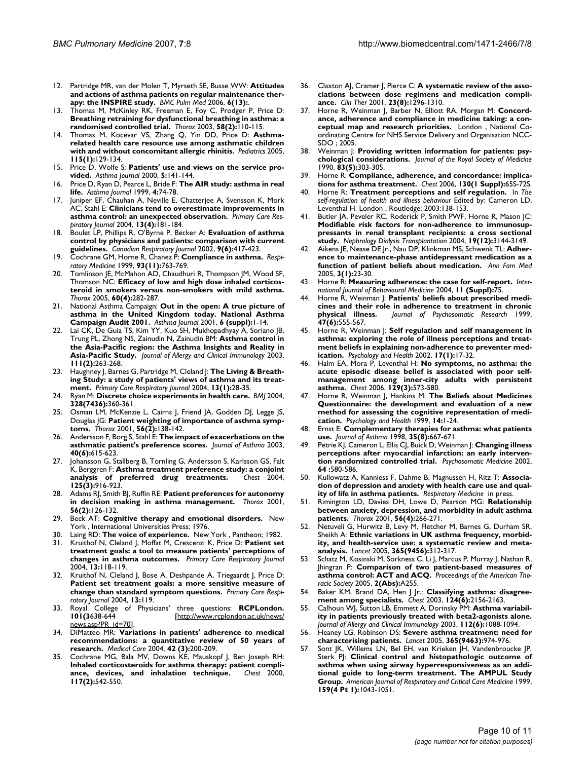- 12. Partridge MR, van der Molen T, Myrseth SE, Busse WW: **Attitudes and actions of asthma patients on regular maintenance therapy: the INSPIRE study.** *BMC Pulm Med* 2006, **6(13):**.
- 13. Thomas M, McKinley RK, Freeman E, Foy C, Prodger P, Price D: **[Breathing retraining for dysfunctional breathing in asthma: a](http://www.ncbi.nlm.nih.gov/entrez/query.fcgi?cmd=Retrieve&db=PubMed&dopt=Abstract&list_uids=12554890) [randomised controlled trial.](http://www.ncbi.nlm.nih.gov/entrez/query.fcgi?cmd=Retrieve&db=PubMed&dopt=Abstract&list_uids=12554890)** *Thorax* 2003, **58(2):**110-115.
- 14. Thomas M, Kocevar VS, Zhang Q, Yin DD, Price D: **[Asthma](http://www.ncbi.nlm.nih.gov/entrez/query.fcgi?cmd=Retrieve&db=PubMed&dopt=Abstract&list_uids=15629992)[related health care resource use among asthmatic children](http://www.ncbi.nlm.nih.gov/entrez/query.fcgi?cmd=Retrieve&db=PubMed&dopt=Abstract&list_uids=15629992) [with and without concomitant allergic rhinitis.](http://www.ncbi.nlm.nih.gov/entrez/query.fcgi?cmd=Retrieve&db=PubMed&dopt=Abstract&list_uids=15629992)** *Pediatrics* 2005, **115(1):**129-134.
- 15. Price D, Wolfe S: Patients' use and views on the service pro**vided.** *Asthma Journal* 2000, **5:**141-144.
- 16. Price D, Ryan D, Pearce L, Bride F: **The AIR study: asthma in real life.** *Asthma Journal* 1999, **4:**74-78.
- 17. Juniper EF, Chauhan A, Neville E, Chatterjee A, Svensson K, Mork AC, Stahl E: **[Clinicians tend to overestimate improvements in](http://www.ncbi.nlm.nih.gov/entrez/query.fcgi?cmd=Retrieve&db=PubMed&dopt=Abstract&list_uids=16701667) [asthma control: an unexpected observation.](http://www.ncbi.nlm.nih.gov/entrez/query.fcgi?cmd=Retrieve&db=PubMed&dopt=Abstract&list_uids=16701667)** *Primary Care Respiratory Journal* 2004, **13(4):**181-184.
- 18. Boulet LP, Phillips R, O'Byrne P, Becker A: **[Evaluation of asthma](http://www.ncbi.nlm.nih.gov/entrez/query.fcgi?cmd=Retrieve&db=PubMed&dopt=Abstract&list_uids=12522488) [control by physicians and patients: comparison with current](http://www.ncbi.nlm.nih.gov/entrez/query.fcgi?cmd=Retrieve&db=PubMed&dopt=Abstract&list_uids=12522488) [guidelines.](http://www.ncbi.nlm.nih.gov/entrez/query.fcgi?cmd=Retrieve&db=PubMed&dopt=Abstract&list_uids=12522488)** *Canadian Respiratory Journal* 2002, **9(6):**417-423.
- 19. Cochrane GM, Horne R, Chanez P: **[Compliance in asthma.](http://www.ncbi.nlm.nih.gov/entrez/query.fcgi?cmd=Retrieve&db=PubMed&dopt=Abstract&list_uids=10603624)** *Respiratory Medicine* 1999, **93(11):**763-769.
- 20. Tomlinson JE, McMahon AD, Chaudhuri R, Thompson JM, Wood SF, Thomson NC: **[Efficacy of low and high dose inhaled corticos](http://www.ncbi.nlm.nih.gov/entrez/query.fcgi?cmd=Retrieve&db=PubMed&dopt=Abstract&list_uids=15790982)[teroid in smokers versus non-smokers with mild asthma.](http://www.ncbi.nlm.nih.gov/entrez/query.fcgi?cmd=Retrieve&db=PubMed&dopt=Abstract&list_uids=15790982)** *Thorax* 2005, **60(4):**282-287.
- 21. National Asthma Campaign: **Out in the open: A true picture of asthma in the United Kingdom today. National Asthma Campaign Audit 2001.** *Asthma Journal* 2001, **6 (suppl):**1-14.
- Lai CK, De Guia TS, Kim YY, Kuo SH, Mukhopadhyay A, Soriano JB, Trung PL, Zhong NS, Zainudin N, Zainudin BM: **Asthma control in the Asia-Pacific region: the Asthma Insights and Reality in Asia-Pacific Study.** *Journal of Allergy and Clinical Immunology* 2003, **111(2):**263-268.
- 23. Haughney J, Barnes G, Partridge M, Cleland J: [The Living & Breath](http://www.ncbi.nlm.nih.gov/entrez/query.fcgi?cmd=Retrieve&db=PubMed&dopt=Abstract&list_uids=16701634)**[ing Study: a study of patients' views of asthma and its treat](http://www.ncbi.nlm.nih.gov/entrez/query.fcgi?cmd=Retrieve&db=PubMed&dopt=Abstract&list_uids=16701634)[ment.](http://www.ncbi.nlm.nih.gov/entrez/query.fcgi?cmd=Retrieve&db=PubMed&dopt=Abstract&list_uids=16701634)** *Primary Care Respiratory Journal* 2004, **13(1):**28-35.
- 24. Ryan M: **[Discrete choice experiments in health care.](http://www.ncbi.nlm.nih.gov/entrez/query.fcgi?cmd=Retrieve&db=PubMed&dopt=Abstract&list_uids=14962852)** *BMJ* 2004, **328(7436):**360-361.
- 25. Osman LM, McKenzie L, Cairns J, Friend JA, Godden DJ, Legge JS, Douglas JG: **[Patient weighting of importance of asthma symp](http://www.ncbi.nlm.nih.gov/entrez/query.fcgi?cmd=Retrieve&db=PubMed&dopt=Abstract&list_uids=11209103)[toms.](http://www.ncbi.nlm.nih.gov/entrez/query.fcgi?cmd=Retrieve&db=PubMed&dopt=Abstract&list_uids=11209103)** *Thorax* 2001, **56(2):**138-142.
- 26. Andersson F, Borg S, Stahl E: **[The impact of exacerbations on the](http://www.ncbi.nlm.nih.gov/entrez/query.fcgi?cmd=Retrieve&db=PubMed&dopt=Abstract&list_uids=14579992) [asthmatic patient's preference scores.](http://www.ncbi.nlm.nih.gov/entrez/query.fcgi?cmd=Retrieve&db=PubMed&dopt=Abstract&list_uids=14579992)** *Journal of Asthma* 2003, **40(6):**615-623.
- 27. Johansson G, Stallberg B, Tornling G, Andersson S, Karlsson GS, Falt K, Berggren F: **[Asthma treatment preference study: a conjoint](http://www.ncbi.nlm.nih.gov/entrez/query.fcgi?cmd=Retrieve&db=PubMed&dopt=Abstract&list_uids=15006950)** [analysis of preferred drug treatments.](http://www.ncbi.nlm.nih.gov/entrez/query.fcgi?cmd=Retrieve&db=PubMed&dopt=Abstract&list_uids=15006950) **125(3):**916-923.
- 28. Adams RJ, Smith BJ, Ruffin RE: **[Patient preferences for autonomy](http://www.ncbi.nlm.nih.gov/entrez/query.fcgi?cmd=Retrieve&db=PubMed&dopt=Abstract&list_uids=11209101) [in decision making in asthma management.](http://www.ncbi.nlm.nih.gov/entrez/query.fcgi?cmd=Retrieve&db=PubMed&dopt=Abstract&list_uids=11209101)** *Thorax* 2001, **56(2):**126-132.
- 29. Beck AT: **Cognitive therapy and emotional disorders.** New York , International Universities Press; 1976.
- 30. Laing RD: **The voice of experience.** New York , Pantheon; 1982.
- 31. Kruithof N, Cleland J, Moffat M, Crescenzi K, Price D: **Patient set treatment goals: a tool to measure patients' perceptions of changes in asthma outcomes.** *Primary Care Respiratory Journal* 2004, **13:**118-119.
- 32. Kruithof N, Cleland J, Bose A, Deshpande A, Triegaardt J, Price D: **Patient set treatment goals: a more sensitive measure of change than standard symptom questions.** *Primary Care Respiratory Journal* 2004, **13:**119.
- 33. Royal College of Physicians' three questions: **RCPLondon. 101(3**638-644 [[http://www.rcplondon.ac.uk/news/](http://www.rcplondon.ac.uk/news/news.asp?PR_id=70) [news.asp?PR\\_id=70](http://www.rcplondon.ac.uk/news/news.asp?PR_id=70)]
- 34. DiMatteo MR: **[Variations in patients' adherence to medical](http://www.ncbi.nlm.nih.gov/entrez/query.fcgi?cmd=Retrieve&db=PubMed&dopt=Abstract&list_uids=15076819) [recommendations: a quantitative review of 50 years of](http://www.ncbi.nlm.nih.gov/entrez/query.fcgi?cmd=Retrieve&db=PubMed&dopt=Abstract&list_uids=15076819) [research.](http://www.ncbi.nlm.nih.gov/entrez/query.fcgi?cmd=Retrieve&db=PubMed&dopt=Abstract&list_uids=15076819)** *Medical Care* 2004, **42 (3):**200-209.
- 35. Cochrane MG, Bala MV, Downs KE, Mauskopf J, Ben Joseph RH: **[Inhaled corticosteroids for asthma therapy: patient compli](http://www.ncbi.nlm.nih.gov/entrez/query.fcgi?cmd=Retrieve&db=PubMed&dopt=Abstract&list_uids=10669701)**[ance, devices, and inhalation technique.](http://www.ncbi.nlm.nih.gov/entrez/query.fcgi?cmd=Retrieve&db=PubMed&dopt=Abstract&list_uids=10669701) **117(2):**542-550.
- 36. Claxton AJ, Cramer J, Pierce C: **[A systematic review of the asso](http://www.ncbi.nlm.nih.gov/entrez/query.fcgi?cmd=Retrieve&db=PubMed&dopt=Abstract&list_uids=11558866)[ciations between dose regimens and medication compli](http://www.ncbi.nlm.nih.gov/entrez/query.fcgi?cmd=Retrieve&db=PubMed&dopt=Abstract&list_uids=11558866)[ance.](http://www.ncbi.nlm.nih.gov/entrez/query.fcgi?cmd=Retrieve&db=PubMed&dopt=Abstract&list_uids=11558866)** *Clin Ther* 2001, **23(8):**1296-1310.
- 37. Horne R, Weinman J, Barber N, Elliott RA, Morgan M: **Concordance, adherence and compliance in medicine taking: a conceptual map and research priorities.** London , National Coordinating Centre for NHS Service Delivery and Organisation NCC-SDO ; 2005.
- 38. Weinman |: **[Providing written information for patients: psy](http://www.ncbi.nlm.nih.gov/entrez/query.fcgi?cmd=Retrieve&db=PubMed&dopt=Abstract&list_uids=2380946)[chological considerations.](http://www.ncbi.nlm.nih.gov/entrez/query.fcgi?cmd=Retrieve&db=PubMed&dopt=Abstract&list_uids=2380946)** *Journal of the Royal Society of Medicine* 1990, **83(5):**303-305.
- 39. Horne R: **[Compliance, adherence, and concordance: implica](http://www.ncbi.nlm.nih.gov/entrez/query.fcgi?cmd=Retrieve&db=PubMed&dopt=Abstract&list_uids=16840369)[tions for asthma treatment.](http://www.ncbi.nlm.nih.gov/entrez/query.fcgi?cmd=Retrieve&db=PubMed&dopt=Abstract&list_uids=16840369)** *Chest* 2006, **130(1 Suppl):**65S-72S.
- 40. Horne R: **Treatment perceptions and self regulation.** In *The self-regulation of health and illness behaviour* Edited by: Cameron LD, Leventhal H. London , Routledge; 2003:138-153.
- 41. Butler JA, Peveler RC, Roderick P, Smith PWF, Horne R, Mason JC: **Modifiable risk factors for non-adherence to immunosuppressants in renal transplant recipients: a cross sectional study.** *Nephrology Dialysis Transplantation* 2004, **19(12):**3144-3149.
- 42. Aikens JE, Nease DE Jr., Nau DP, Klinkman MS, Schwenk TL: **[Adher](http://www.ncbi.nlm.nih.gov/entrez/query.fcgi?cmd=Retrieve&db=PubMed&dopt=Abstract&list_uids=15671187)[ence to maintenance-phase antidepressant medication as a](http://www.ncbi.nlm.nih.gov/entrez/query.fcgi?cmd=Retrieve&db=PubMed&dopt=Abstract&list_uids=15671187) [function of patient beliefs about medication.](http://www.ncbi.nlm.nih.gov/entrez/query.fcgi?cmd=Retrieve&db=PubMed&dopt=Abstract&list_uids=15671187)** *Ann Fam Med* 2005, **3(1):**23-30.
- 43. Horne R: **Measuring adherence: the case for self-report.** *International Journal of Behavioural Medicine* 2004, **11 (Suppl):**75.
- Horne R, Weinman J: [Patients' beliefs about prescribed medi](http://www.ncbi.nlm.nih.gov/entrez/query.fcgi?cmd=Retrieve&db=PubMed&dopt=Abstract&list_uids=10661603)**[cines and their role in adherence to treatment in chronic](http://www.ncbi.nlm.nih.gov/entrez/query.fcgi?cmd=Retrieve&db=PubMed&dopt=Abstract&list_uids=10661603) [physical illness.](http://www.ncbi.nlm.nih.gov/entrez/query.fcgi?cmd=Retrieve&db=PubMed&dopt=Abstract&list_uids=10661603)** *Journal of Psychosomatic Research* 1999, **47(6):**555-567.
- 45. Horne R, Weinman J: **Self regulation and self management in asthma: exploring the role of illness perceptions and treatment beliefs in explaining non-adherence to preventer medication.** *Psychology and Health* 2002, **17(1):**17-32.
- 46. Halm EA, Mora P, Leventhal H: **[No symptoms, no asthma: the](http://www.ncbi.nlm.nih.gov/entrez/query.fcgi?cmd=Retrieve&db=PubMed&dopt=Abstract&list_uids=16537854) [acute episodic disease belief is associated with poor self](http://www.ncbi.nlm.nih.gov/entrez/query.fcgi?cmd=Retrieve&db=PubMed&dopt=Abstract&list_uids=16537854)management among inner-city adults with persistent [asthma.](http://www.ncbi.nlm.nih.gov/entrez/query.fcgi?cmd=Retrieve&db=PubMed&dopt=Abstract&list_uids=16537854)** *Chest* 2006, **129(3):**573-580.
- 47. Horne R, Weinman J, Hankins M: **The Beliefs about Medicines Questionnaire: the development and evaluation of a new method for assessing the cognitive representation of medication.** *Psychology and Health* 1999, **14:**1-24.
- 48. Ernst E: **[Complementary therapies for asthma: what patients](http://www.ncbi.nlm.nih.gov/entrez/query.fcgi?cmd=Retrieve&db=PubMed&dopt=Abstract&list_uids=9860087) [use.](http://www.ncbi.nlm.nih.gov/entrez/query.fcgi?cmd=Retrieve&db=PubMed&dopt=Abstract&list_uids=9860087)** *Journal of Asthma* 1998, **35(8):**667-671.
- 49. Petrie KJ, Cameron L, Ellis CJ, Buick D, Weinman J: **[Changing illness](http://www.ncbi.nlm.nih.gov/entrez/query.fcgi?cmd=Retrieve&db=PubMed&dopt=Abstract&list_uids=12140347) [perceptions after myocardial infarction: an early interven](http://www.ncbi.nlm.nih.gov/entrez/query.fcgi?cmd=Retrieve&db=PubMed&dopt=Abstract&list_uids=12140347)[tion randomized controlled trial.](http://www.ncbi.nlm.nih.gov/entrez/query.fcgi?cmd=Retrieve&db=PubMed&dopt=Abstract&list_uids=12140347)** *Psychosomatic Medicine* 2002, **64 :**580-586.
- 50. Kullowatz A, Kanniess F, Dahme B, Magnussen H, Ritz T: **Association of depression and anxiety with health care use and quality of life in asthma patients.** *Respiratory Medicine* in press.
- 51. Rimington LD, Davies DH, Lowe D, Pearson MG: **[Relationship](http://www.ncbi.nlm.nih.gov/entrez/query.fcgi?cmd=Retrieve&db=PubMed&dopt=Abstract&list_uids=11254816) [between anxiety, depression, and morbidity in adult asthma](http://www.ncbi.nlm.nih.gov/entrez/query.fcgi?cmd=Retrieve&db=PubMed&dopt=Abstract&list_uids=11254816) [patients.](http://www.ncbi.nlm.nih.gov/entrez/query.fcgi?cmd=Retrieve&db=PubMed&dopt=Abstract&list_uids=11254816)** *Thorax* 2001, **56(4):**266-271.
- 52. Netuveli G, Hurwitz B, Levy M, Fletcher M, Barnes G, Durham SR, Sheikh A: **[Ethnic variations in UK asthma frequency, morbid](http://www.ncbi.nlm.nih.gov/entrez/query.fcgi?cmd=Retrieve&db=PubMed&dopt=Abstract&list_uids=15664226)[ity, and health-service use: a systematic review and meta](http://www.ncbi.nlm.nih.gov/entrez/query.fcgi?cmd=Retrieve&db=PubMed&dopt=Abstract&list_uids=15664226)[analysis.](http://www.ncbi.nlm.nih.gov/entrez/query.fcgi?cmd=Retrieve&db=PubMed&dopt=Abstract&list_uids=15664226)** *Lancet* 2005, **365(9456):**312-317.
- Schatz M, Kosinski M, Sorkness C, Li J, Marcus P, Murray J, Nathan R, Jhingran P: **Comparison of two patient-based measures of asthma control: ACT and ACQ.** *Proceedings of the American Thoracic Society* 2005, **2(Abs):**A255.
- Baker KM, Brand DA, Hen J Jr.: [Classifying asthma: disagree](http://www.ncbi.nlm.nih.gov/entrez/query.fcgi?cmd=Retrieve&db=PubMed&dopt=Abstract&list_uids=14665495)**[ment among specialists.](http://www.ncbi.nlm.nih.gov/entrez/query.fcgi?cmd=Retrieve&db=PubMed&dopt=Abstract&list_uids=14665495)** *Chest* 2003, **124(6):**2156-2163.
- 55. Calhoun WJ, Sutton LB, Emmett A, Dorinsky PM: **Asthma variability in patients previously treated with beta2-agonists alone.** *Journal of Allergy and Clinical Immunology* 2003, **112(6):**1088-1094.
- 56. Heaney LG, Robinson DS: **[Severe asthma treatment: need for](http://www.ncbi.nlm.nih.gov/entrez/query.fcgi?cmd=Retrieve&db=PubMed&dopt=Abstract&list_uids=15767000) [characterising patients.](http://www.ncbi.nlm.nih.gov/entrez/query.fcgi?cmd=Retrieve&db=PubMed&dopt=Abstract&list_uids=15767000)** *Lancet* 2005, **365(9463):**974-976.
- 57. Sont JK, Willems LN, Bel EH, van Krieken JH, Vandenbroucke JP, Sterk PJ: **Clinical control and histopathologic outcome of asthma when using airway hyperresponsiveness as an additional guide to long-term treatment. The AMPUL Study Group.** *American Journal of Respiratory and Critical Care Medicine* 1999, **159(4 Pt 1):**1043-1051.